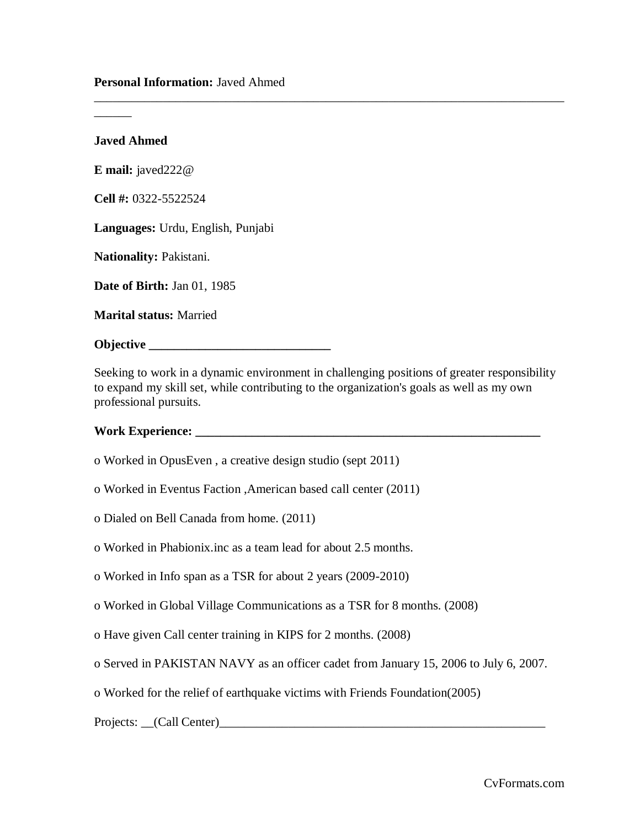**Javed Ahmed**

\_\_\_\_\_\_

**E mail:** javed222@

**Cell #:** 0322-5522524

**Languages:** Urdu, English, Punjabi

**Nationality:** Pakistani.

**Date of Birth:** Jan 01, 1985

**Marital status:** Married

**Objective \_\_\_\_\_\_\_\_\_\_\_\_\_\_\_\_\_\_\_\_\_\_\_\_\_\_\_\_\_\_\_\_** 

Seeking to work in a dynamic environment in challenging positions of greater responsibility to expand my skill set, while contributing to the organization's goals as well as my own professional pursuits.

\_\_\_\_\_\_\_\_\_\_\_\_\_\_\_\_\_\_\_\_\_\_\_\_\_\_\_\_\_\_\_\_\_\_\_\_\_\_\_\_\_\_\_\_\_\_\_\_\_\_\_\_\_\_\_\_\_\_\_\_\_\_\_\_\_\_\_\_\_\_\_\_\_\_\_

## **Work Experience: \_\_\_\_\_\_\_\_\_\_\_\_\_\_\_\_\_\_\_\_\_\_\_\_\_\_\_\_\_\_\_\_\_\_\_\_\_\_\_\_\_\_\_\_\_\_\_\_\_\_\_\_\_\_\_**

- o Worked in OpusEven , a creative design studio (sept 2011)
- o Worked in Eventus Faction ,American based call center (2011)
- o Dialed on Bell Canada from home. (2011)
- o Worked in Phabionix.inc as a team lead for about 2.5 months.
- o Worked in Info span as a TSR for about 2 years (2009-2010)
- o Worked in Global Village Communications as a TSR for 8 months. (2008)
- o Have given Call center training in KIPS for 2 months. (2008)
- o Served in PAKISTAN NAVY as an officer cadet from January 15, 2006 to July 6, 2007.
- o Worked for the relief of earthquake victims with Friends Foundation(2005)

Projects: \_\_(Call Center)\_\_\_\_\_\_\_\_\_\_\_\_\_\_\_\_\_\_\_\_\_\_\_\_\_\_\_\_\_\_\_\_\_\_\_\_\_\_\_\_\_\_\_\_\_\_\_\_\_\_\_\_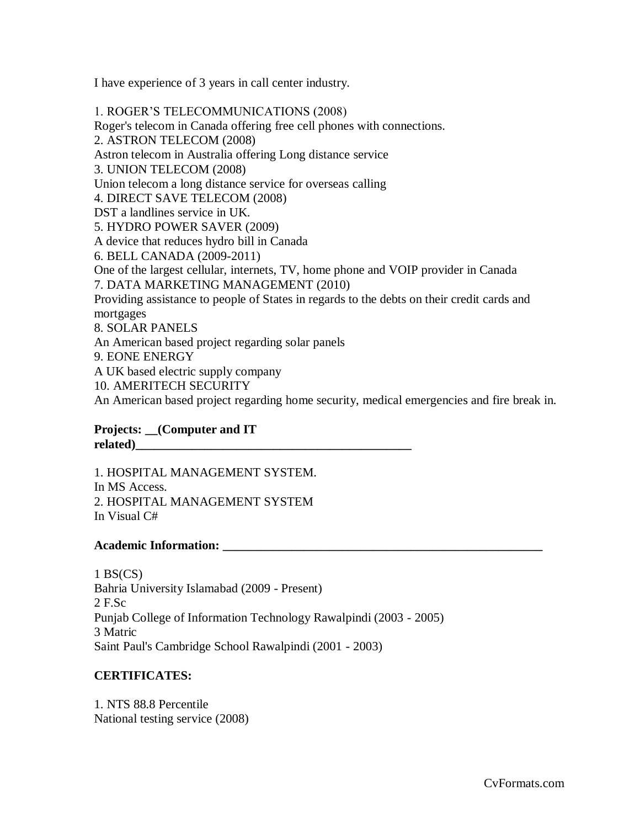I have experience of 3 years in call center industry.

1. ROGER'S TELECOMMUNICATIONS (2008) Roger's telecom in Canada offering free cell phones with connections. 2. ASTRON TELECOM (2008) Astron telecom in Australia offering Long distance service 3. UNION TELECOM (2008) Union telecom a long distance service for overseas calling 4. DIRECT SAVE TELECOM (2008) DST a landlines service in UK. 5. HYDRO POWER SAVER (2009) A device that reduces hydro bill in Canada 6. BELL CANADA (2009-2011) One of the largest cellular, internets, TV, home phone and VOIP provider in Canada 7. DATA MARKETING MANAGEMENT (2010) Providing assistance to people of States in regards to the debts on their credit cards and mortgages 8. SOLAR PANELS An American based project regarding solar panels 9. EONE ENERGY A UK based electric supply company

10. AMERITECH SECURITY

An American based project regarding home security, medical emergencies and fire break in.

### **Projects: \_\_(Computer and IT related)\_\_\_\_\_\_\_\_\_\_\_\_\_\_\_\_\_\_\_\_\_\_\_\_\_\_\_\_\_\_\_\_\_\_\_\_\_\_\_\_\_\_\_\_**

1. HOSPITAL MANAGEMENT SYSTEM. In MS Access. 2. HOSPITAL MANAGEMENT SYSTEM In Visual C#

### **Academic Information: \_\_\_\_\_\_\_\_\_\_\_\_\_\_\_\_\_\_\_\_\_\_\_\_\_\_\_\_\_\_\_\_\_\_\_\_\_\_\_\_\_\_\_\_\_\_\_\_\_\_\_**

 $1$  BS(CS) Bahria University Islamabad (2009 - Present) 2 F.Sc Punjab College of Information Technology Rawalpindi (2003 - 2005) 3 Matric Saint Paul's Cambridge School Rawalpindi (2001 - 2003)

### **CERTIFICATES:**

1. NTS 88.8 Percentile National testing service (2008)